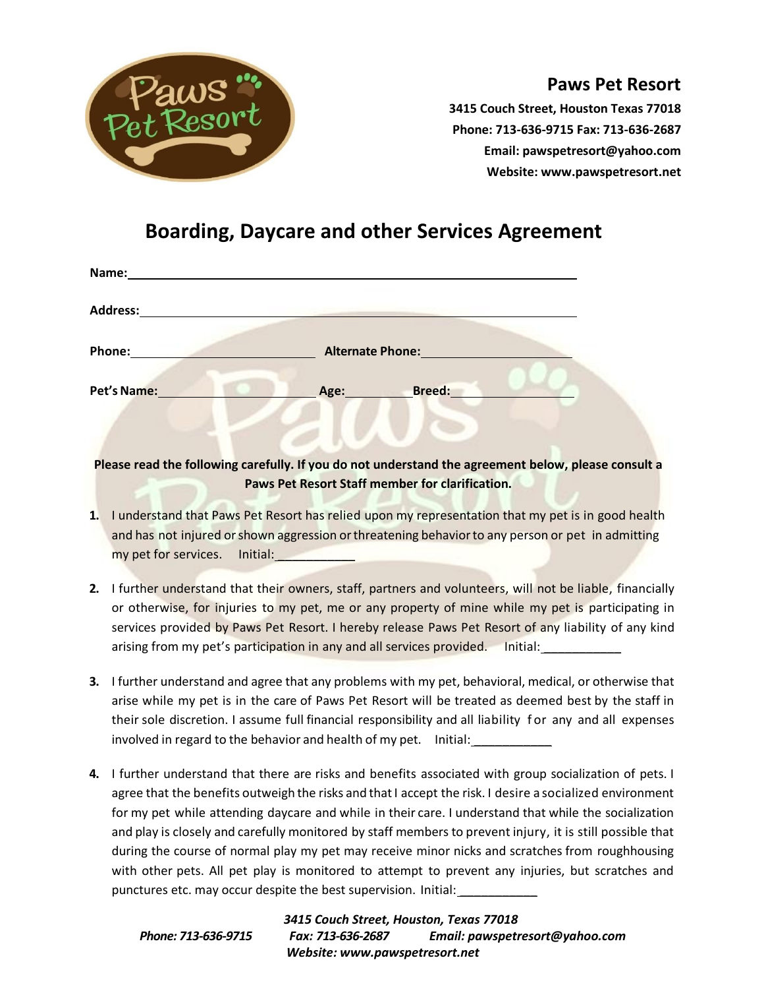

## **Paws Pet Resort**

**3415 Couch Street, Houston Texas 77018 Phone: 713-636-9715 Fax: 713-636-2687 Email: pawspetresort@yahoo.com Website: www.pawspetresort.net**

# **Boarding, Daycare and other Services Agreement**

| Name:           |                         |  |
|-----------------|-------------------------|--|
| <b>Address:</b> |                         |  |
| Phone:          | <b>Alternate Phone:</b> |  |
| Pet's Name:     | Breed:<br>Age:          |  |

### **Please read the following carefully. If you do not understand the agreement below, please consult a Paws Pet Resort Staff member for clarification.**

- **1.** I understand that Paws Pet Resort has relied upon my representation that my pet is in good health and has not injured or shown aggression or threatening behavior to any person or pet in admitting my pet for services. Initial:
- **2.** I further understand that their owners, staff, partners and volunteers, will not be liable, financially or otherwise, for injuries to my pet, me or any property of mine while my pet is participating in services provided by Paws Pet Resort. I hereby release Paws Pet Resort of any liability of any kind arising from my pet's participation in any and all services provided. Initial:
- **3.** I further understand and agree that any problems with my pet, behavioral, medical, or otherwise that arise while my pet is in the care of Paws Pet Resort will be treated as deemed best by the staff in their sole discretion. I assume full financial responsibility and all liability f or any and all expenses involved in regard to the behavior and health of my pet. Initial:
- **4.** I further understand that there are risks and benefits associated with group socialization of pets. I agree that the benefits outweigh the risks and that I accept the risk. I desire a socialized environment for my pet while attending daycare and while in their care. I understand that while the socialization and play is closely and carefully monitored by staff members to prevent injury, it is still possible that during the course of normal play my pet may receive minor nicks and scratches from roughhousing with other pets. All pet play is monitored to attempt to prevent any injuries, but scratches and punctures etc. may occur despite the best supervision. Initial: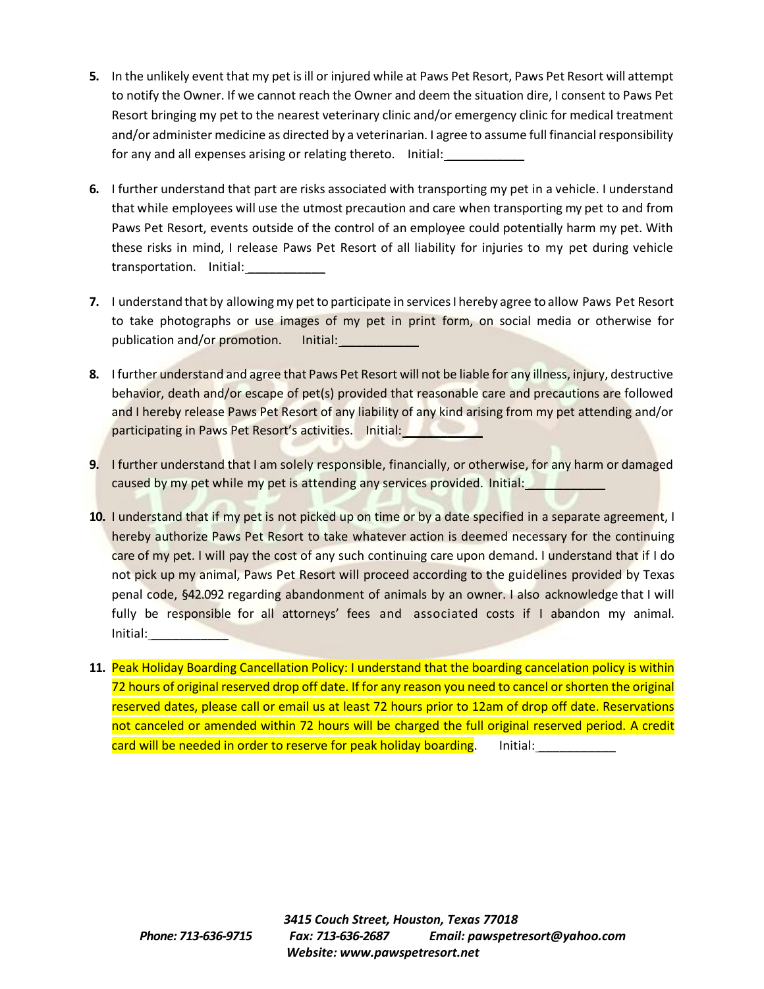- **5.** In the unlikely event that my pet is ill or injured while at Paws Pet Resort, Paws Pet Resort will attempt to notify the Owner. If we cannot reach the Owner and deem the situation dire, I consent to Paws Pet Resort bringing my pet to the nearest veterinary clinic and/or emergency clinic for medical treatment and/or administer medicine as directed by a veterinarian. I agree to assume full financial responsibility for any and all expenses arising or relating thereto. Initial:
- **6.** I further understand that part are risks associated with transporting my pet in a vehicle. I understand that while employees will use the utmost precaution and care when transporting my pet to and from Paws Pet Resort, events outside of the control of an employee could potentially harm my pet. With these risks in mind, I release Paws Pet Resort of all liability for injuries to my pet during vehicle transportation. Initial:
- **7.** I understand that by allowing my pet to participate in services I hereby agree to allow Paws Pet Resort to take photographs or use images of my pet in print form, on social media or otherwise for publication and/or promotion. Initial:
- **8.** I further understand and agree that Paws Pet Resort will not be liable for any illness, injury, destructive behavior, death and/or escape of pet(s) provided that reasonable care and precautions are followed and I hereby release Paws Pet Resort of any liability of any kind arising from my pet attending and/or participating in Paws Pet Resort's activities. Initial:
- **9.** I further understand that I am solely responsible, financially, or otherwise, for any harm or damaged caused by my pet while my pet is attending any services provided. Initial:
- **10.** I understand that if my pet is not picked up on time or by a date specified in a separate agreement, I hereby authorize Paws Pet Resort to take whatever action is deemed necessary for the continuing care of my pet. I will pay the cost of any such continuing care upon demand. I understand that if I do not pick up my animal, Paws Pet Resort will proceed according to the guidelines provided by Texas penal code, §42.092 regarding abandonment of animals by an owner. I also acknowledge that I will fully be responsible for all attorneys' fees and associated costs if I abandon my animal. Initial: \_\_\_\_\_\_\_\_\_\_\_
- **11.** Peak Holiday Boarding Cancellation Policy: I understand that the boarding cancelation policy is within 72 hours of original reserved drop off date. If for any reason you need to cancel or shorten the original reserved dates, please call or email us at least 72 hours prior to 12am of drop off date. Reservations not canceled or amended within 72 hours will be charged the full original reserved period. A credit card will be needed in order to reserve for peak holiday boarding. Initial: \_\_\_\_\_\_\_\_\_\_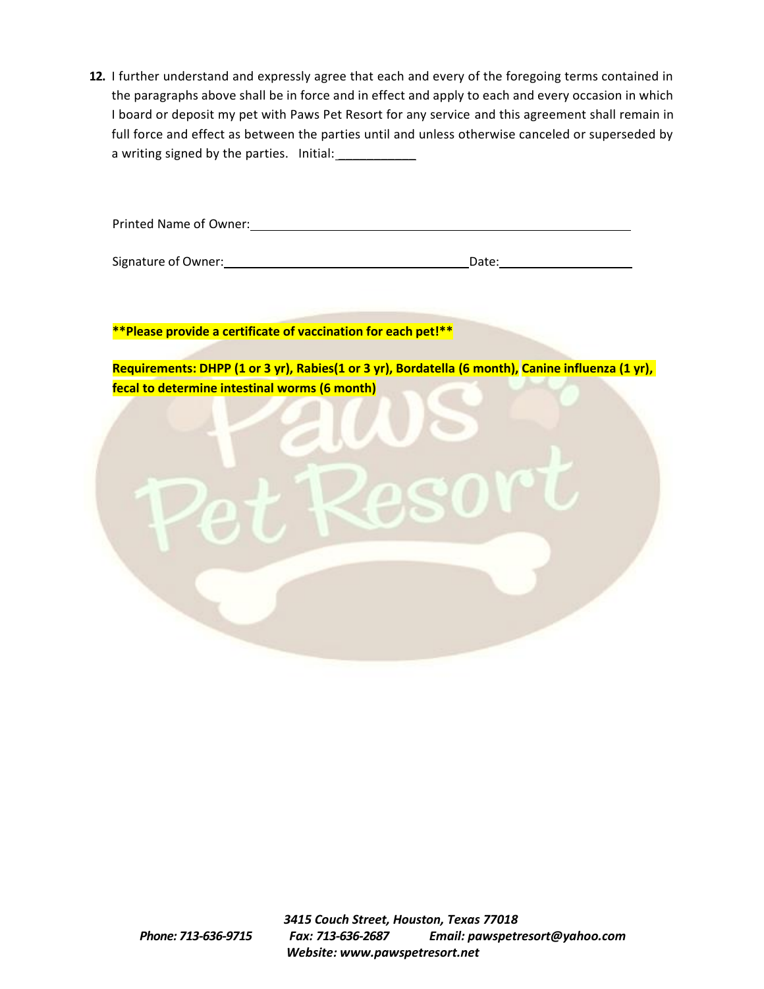**12.** I further understand and expressly agree that each and every of the foregoing terms contained in the paragraphs above shall be in force and in effect and apply to each and every occasion in which I board or deposit my pet with Paws Pet Resort for any service and this agreement shall remain in full force and effect as between the parties until and unless otherwise canceled or superseded by a writing signed by the parties. Initial:

Signature of Owner: Date: Date: Date: Date: Date: Date:

**\*\*Please provide a certificate of vaccination for each pet!\*\***

**Requirements: DHPP (1 or 3 yr), Rabies(1 or 3 yr), Bordatella (6 month), Canine influenza (1 yr), fecal to determine intestinal worms (6 month)**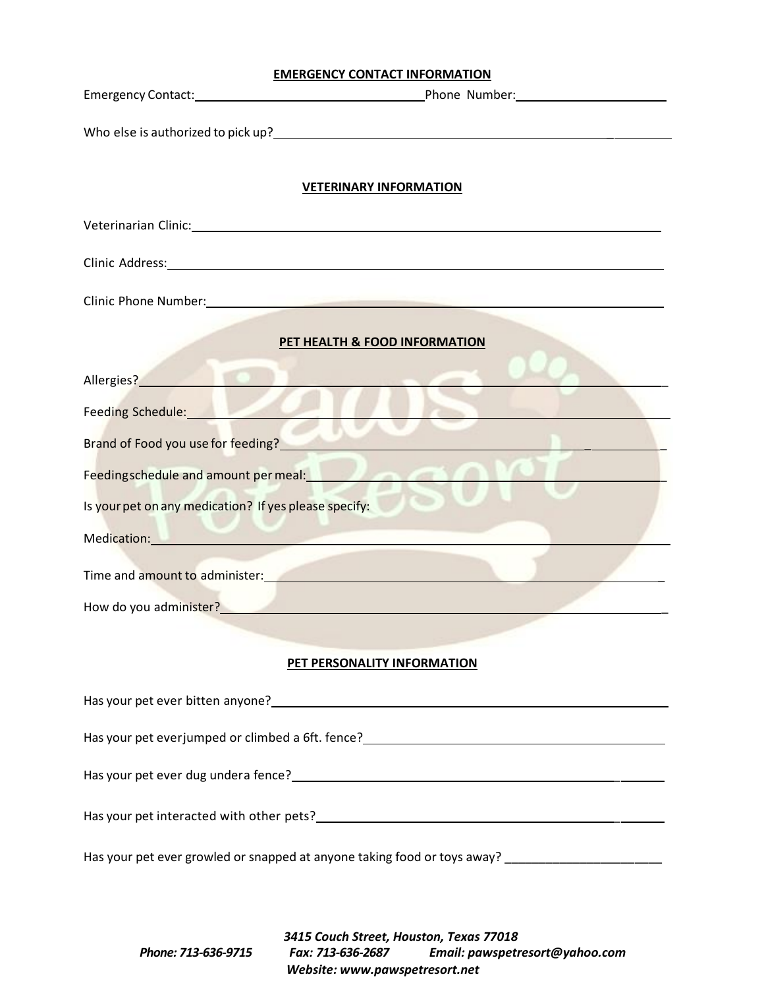#### **EMERGENCY CONTACT INFORMATION**

| <b>VETERINARY INFORMATION</b>                                                                                                                                                                                                          |  |  |  |  |
|----------------------------------------------------------------------------------------------------------------------------------------------------------------------------------------------------------------------------------------|--|--|--|--|
| Veterinarian Clinic: Veterinarian Clinic:                                                                                                                                                                                              |  |  |  |  |
| Clinic Address: No. 2016. The Committee of the Committee of the Committee of the Committee of the Committee of the Committee of the Committee of the Committee of the Committee of the Committee of the Committee of the Commi         |  |  |  |  |
|                                                                                                                                                                                                                                        |  |  |  |  |
| PET HEALTH & FOOD INFORMATION                                                                                                                                                                                                          |  |  |  |  |
| Allergies? Allergies and the contract of the contract of the contract of the contract of the contract of the contract of the contract of the contract of the contract of the contract of the contract of the contract of the c         |  |  |  |  |
|                                                                                                                                                                                                                                        |  |  |  |  |
| Feeding Schedule: and the state of the state of the state of the state of the state of the state of the state of the state of the state of the state of the state of the state of the state of the state of the state of the s         |  |  |  |  |
| Brand of Food you use for feeding?<br>The contract of the contract of the contract of the contract of the contract of the contract of the contract o                                                                                   |  |  |  |  |
| Feedingschedule and amount per meal: <b>All and School and School and School and School and School and School and School and School and School and School and School and School and School and School and School and School and </b>   |  |  |  |  |
| Is your pet on any medication? If yes please specify:                                                                                                                                                                                  |  |  |  |  |
| Medication: New York Product of the Contract of the Contract of the Contract of the Contract of the Contract of the Contract of the Contract of the Contract of the Contract of the Contract of the Contract of the Contract o         |  |  |  |  |
| Time and amount to administer: <b>All and Amount of Amount Amount of Amount Amount Amount Amount Amount Amount Amount Amount Amount Amount Amount Amount Amount Amount Amount Amount Amount Amount Amount Amount Amount Amount A</b>   |  |  |  |  |
| How do you administer? <b>Example 2018</b> The contract of the contract of the contract of the contract of the contract of the contract of the contract of the contract of the contract of the contract of the contract of the cont    |  |  |  |  |
|                                                                                                                                                                                                                                        |  |  |  |  |
| PET PERSONALITY INFORMATION                                                                                                                                                                                                            |  |  |  |  |
|                                                                                                                                                                                                                                        |  |  |  |  |
| Has your pet ever jumped or climbed a 6ft. fence?<br>The settlement of the settlement of the settlement of the settlement of the settlement of the settlement of t                                                                     |  |  |  |  |
| Has your pet ever dug undera fence?<br><u> and the contract of the contract of the contract of the contract of the contract of the contract of the contract of the contract of the contract of the contract of the contract of the</u> |  |  |  |  |
|                                                                                                                                                                                                                                        |  |  |  |  |
| Has your pet ever growled or snapped at anyone taking food or toys away? __________________________                                                                                                                                    |  |  |  |  |
|                                                                                                                                                                                                                                        |  |  |  |  |

*3415 Couch Street, Houston, Texas 77018 Phone: 713-636-9715 Fax: 713-636-2687 Email: pawspetresort@yahoo.com Website: www.pawspetresort.net*